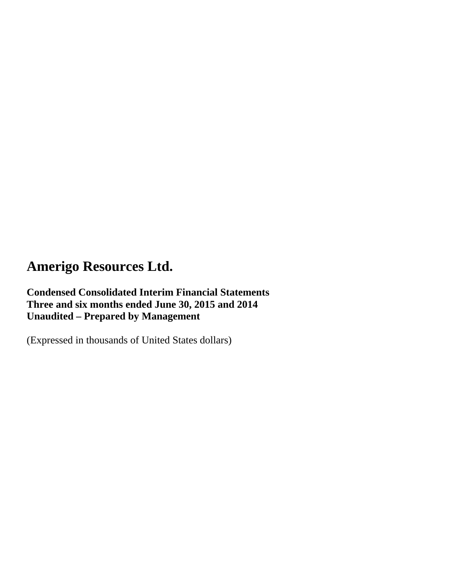**Condensed Consolidated Interim Financial Statements Three and six months ended June 30, 2015 and 2014 Unaudited – Prepared by Management** 

(Expressed in thousands of United States dollars)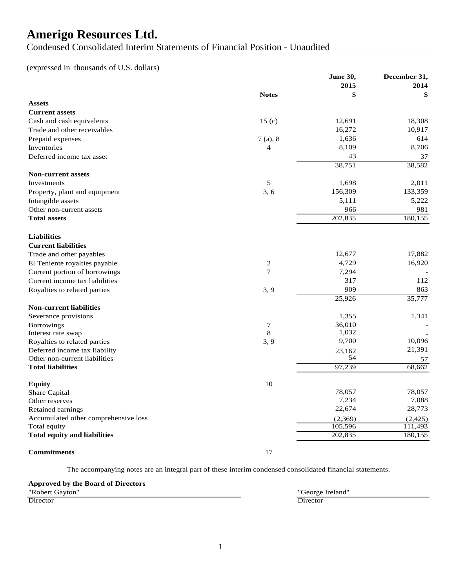Condensed Consolidated Interim Statements of Financial Position - Unaudited

## (expressed in thousands of U.S. dollars)

|                                      |                         | June 30, | December 31, |
|--------------------------------------|-------------------------|----------|--------------|
|                                      |                         | 2015     | 2014         |
|                                      | <b>Notes</b>            | \$       | \$           |
| <b>Assets</b>                        |                         |          |              |
| <b>Current assets</b>                |                         |          |              |
| Cash and cash equivalents            | 15 <sub>(c)</sub>       | 12,691   | 18,308       |
| Trade and other receivables          |                         | 16,272   | 10,917       |
| Prepaid expenses                     | 7(a), 8                 | 1,636    | 614          |
| Inventories                          | 4                       | 8,109    | 8,706        |
| Deferred income tax asset            |                         | 43       | 37           |
|                                      |                         | 38,751   | 38,582       |
| <b>Non-current assets</b>            |                         |          |              |
| Investments                          | 5                       | 1,698    | 2,011        |
| Property, plant and equipment        | 3, 6                    | 156,309  | 133,359      |
| Intangible assets                    |                         | 5,111    | 5,222        |
| Other non-current assets             |                         | 966      | 981          |
| <b>Total assets</b>                  |                         | 202,835  | 180,155      |
|                                      |                         |          |              |
| <b>Liabilities</b>                   |                         |          |              |
| <b>Current liabilities</b>           |                         |          |              |
| Trade and other payables             |                         | 12,677   | 17,882       |
| El Teniente royalties payable        | $\overline{\mathbf{c}}$ | 4,729    | 16,920       |
| Current portion of borrowings        | $\tau$                  | 7,294    |              |
| Current income tax liabilities       |                         | 317      | 112          |
| Royalties to related parties         | 3, 9                    | 909      | 863          |
|                                      |                         | 25,926   | 35,777       |
| <b>Non-current liabilities</b>       |                         |          |              |
| Severance provisions                 |                         | 1,355    | 1,341        |
| <b>Borrowings</b>                    | 7                       | 36,010   |              |
| Interest rate swap                   | $\,8\,$                 | 1,032    |              |
| Royalties to related parties         | 3, 9                    | 9,700    | 10,096       |
| Deferred income tax liability        |                         | 23,162   | 21,391       |
| Other non-current liabilities        |                         | 54       | 57           |
| <b>Total liabilities</b>             |                         | 97,239   | 68,662       |
|                                      |                         |          |              |
| <b>Equity</b>                        | 10                      |          |              |
| Share Capital                        |                         | 78,057   | 78,057       |
| Other reserves                       |                         | 7,234    | 7,088        |
| Retained earnings                    |                         | 22,674   | 28,773       |
| Accumulated other comprehensive loss |                         | (2,369)  | (2, 425)     |
| Total equity                         |                         | 105,596  | 111.493      |
| <b>Total equity and liabilities</b>  |                         | 202,835  | 180,155      |
|                                      |                         |          |              |

#### **Commitments** 17

The accompanying notes are an integral part of these interim condensed consolidated financial statements.

# **Approved by the Board of Directors**

"Robert Gayton" "George Ireland" Director Director **Director Director**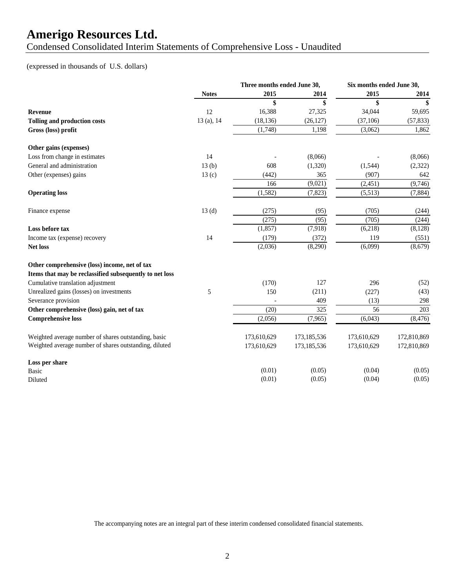Condensed Consolidated Interim Statements of Comprehensive Loss - Unaudited

## (expressed in thousands of U.S. dollars)

|                                                         |              | Three months ended June 30, |             |             | Six months ended June 30, |  |
|---------------------------------------------------------|--------------|-----------------------------|-------------|-------------|---------------------------|--|
|                                                         | <b>Notes</b> | 2015                        | 2014        | 2015        | 2014                      |  |
|                                                         |              | \$                          | \$          | \$          | \$                        |  |
| Revenue                                                 | 12           | 16,388                      | 27,325      | 34,044      | 59,695                    |  |
| Tolling and production costs                            | 13(a), 14    | (18, 136)                   | (26, 127)   | (37,106)    | (57, 833)                 |  |
| Gross (loss) profit                                     |              | (1,748)                     | 1,198       | (3,062)     | 1,862                     |  |
| Other gains (expenses)                                  |              |                             |             |             |                           |  |
| Loss from change in estimates                           | 14           |                             | (8,066)     |             | (8,066)                   |  |
| General and administration                              | 13(b)        | 608                         | (1,320)     | (1, 544)    | (2,322)                   |  |
| Other (expenses) gains                                  | 13(c)        | (442)                       | 365         | (907)       | 642                       |  |
|                                                         |              | 166                         | (9,021)     | (2, 451)    | (9,746)                   |  |
| <b>Operating loss</b>                                   |              | (1,582)                     | (7, 823)    | (5,513)     | (7,884)                   |  |
| Finance expense                                         | 13(d)        | (275)                       | (95)        | (705)       | (244)                     |  |
|                                                         |              | (275)                       | (95)        | (705)       | (244)                     |  |
| Loss before tax                                         |              | (1, 857)                    | (7,918)     | (6,218)     | (8, 128)                  |  |
| Income tax (expense) recovery                           | 14           | (179)                       | (372)       | 119         | (551)                     |  |
| Net loss                                                |              | (2,036)                     | (8,290)     | (6,099)     | (8,679)                   |  |
| Other comprehensive (loss) income, net of tax           |              |                             |             |             |                           |  |
| Items that may be reclassified subsequently to net loss |              |                             |             |             |                           |  |
| Cumulative translation adjustment                       |              | (170)                       | 127         | 296         | (52)                      |  |
| Unrealized gains (losses) on investments                | 5            | 150                         | (211)       | (227)       | (43)                      |  |
| Severance provision                                     |              |                             | 409         | (13)        | 298                       |  |
| Other comprehensive (loss) gain, net of tax             |              | (20)                        | 325         | 56          | 203                       |  |
| <b>Comprehensive loss</b>                               |              | (2,056)                     | (7,965)     | (6,043)     | (8, 476)                  |  |
| Weighted average number of shares outstanding, basic    |              | 173,610,629                 | 173,185,536 | 173,610,629 | 172,810,869               |  |
| Weighted average number of shares outstanding, diluted  |              | 173,610,629                 | 173,185,536 | 173,610,629 | 172,810,869               |  |
| Loss per share                                          |              |                             |             |             |                           |  |
| <b>Basic</b>                                            |              | (0.01)                      | (0.05)      | (0.04)      | (0.05)                    |  |
| Diluted                                                 |              | (0.01)                      | (0.05)      | (0.04)      | (0.05)                    |  |

The accompanying notes are an integral part of these interim condensed consolidated financial statements.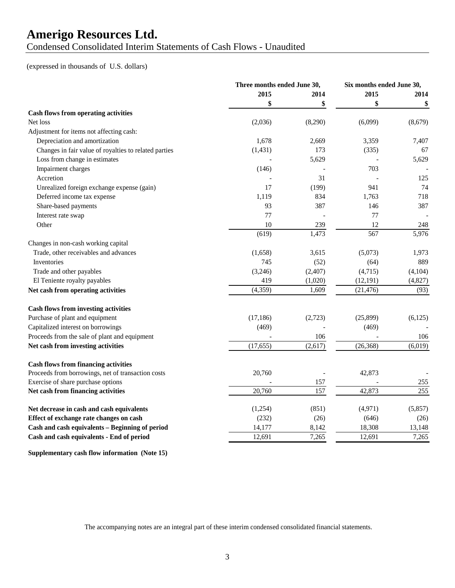Condensed Consolidated Interim Statements of Cash Flows - Unaudited

#### (expressed in thousands of U.S. dollars)

|                                                       |           | Three months ended June 30, |           | Six months ended June 30, |
|-------------------------------------------------------|-----------|-----------------------------|-----------|---------------------------|
|                                                       | 2015      | 2014                        | 2015      | 2014                      |
|                                                       | \$        | \$                          | \$        | \$                        |
| <b>Cash flows from operating activities</b>           |           |                             |           |                           |
| Net loss                                              | (2,036)   | (8,290)                     | (6,099)   | (8,679)                   |
| Adjustment for items not affecting cash:              |           |                             |           |                           |
| Depreciation and amortization                         | 1,678     | 2,669                       | 3,359     | 7,407                     |
| Changes in fair value of royalties to related parties | (1, 431)  | 173                         | (335)     | 67                        |
| Loss from change in estimates                         |           | 5,629                       |           | 5,629                     |
| Impairment charges                                    | (146)     |                             | 703       |                           |
| Accretion                                             |           | 31                          |           | 125                       |
| Unrealized foreign exchange expense (gain)            | 17        | (199)                       | 941       | 74                        |
| Deferred income tax expense                           | 1,119     | 834                         | 1,763     | 718                       |
| Share-based payments                                  | 93        | 387                         | 146       | 387                       |
| Interest rate swap                                    | 77        |                             | 77        |                           |
| Other                                                 | 10        | 239                         | 12        | 248                       |
|                                                       | (619)     | 1,473                       | 567       | 5,976                     |
| Changes in non-cash working capital                   |           |                             |           |                           |
| Trade, other receivables and advances                 | (1,658)   | 3,615                       | (5,073)   | 1,973                     |
| Inventories                                           | 745       | (52)                        | (64)      | 889                       |
| Trade and other payables                              | (3,246)   | (2,407)                     | (4,715)   | (4,104)                   |
| El Teniente royalty payables                          | 419       | (1,020)                     | (12, 191) | (4,827)                   |
| Net cash from operating activities                    | (4, 359)  | 1,609                       | (21, 476) | (93)                      |
| <b>Cash flows from investing activities</b>           |           |                             |           |                           |
| Purchase of plant and equipment                       | (17, 186) | (2,723)                     | (25,899)  | (6,125)                   |
| Capitalized interest on borrowings                    | (469)     |                             | (469)     |                           |
| Proceeds from the sale of plant and equipment         |           | 106                         |           | 106                       |
| Net cash from investing activities                    | (17, 655) | (2,617)                     | (26, 368) | (6,019)                   |
| <b>Cash flows from financing activities</b>           |           |                             |           |                           |
| Proceeds from borrowings, net of transaction costs    | 20,760    |                             | 42,873    |                           |
| Exercise of share purchase options                    |           | 157                         |           | 255                       |
| Net cash from financing activities                    | 20,760    | 157                         | 42,873    | 255                       |
| Net decrease in cash and cash equivalents             | (1,254)   | (851)                       | (4,971)   | (5,857)                   |
| Effect of exchange rate changes on cash               | (232)     | (26)                        | (646)     | (26)                      |
| Cash and cash equivalents - Beginning of period       | 14,177    | 8,142                       | 18,308    | 13,148                    |
| Cash and cash equivalents - End of period             | 12,691    | 7,265                       | 12,691    | 7,265                     |

**Supplementary cash flow information (Note 15)**

The accompanying notes are an integral part of these interim condensed consolidated financial statements.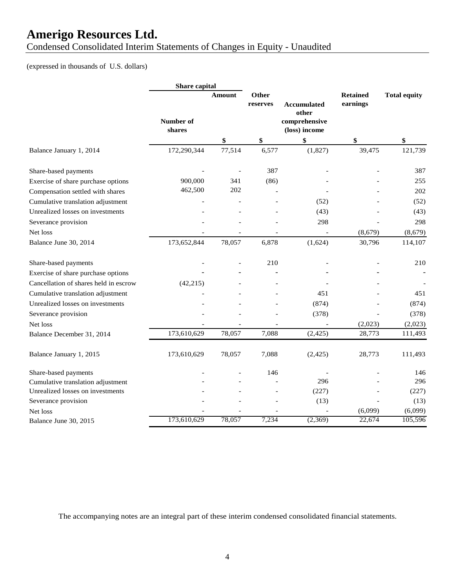Condensed Consolidated Interim Statements of Changes in Equity - Unaudited

## (expressed in thousands of U.S. dollars)

|                                       | Share capital       |               |                   |                                |                             |                     |
|---------------------------------------|---------------------|---------------|-------------------|--------------------------------|-----------------------------|---------------------|
|                                       |                     | <b>Amount</b> | Other<br>reserves | <b>Accumulated</b><br>other    | <b>Retained</b><br>earnings | <b>Total equity</b> |
|                                       | Number of<br>shares |               |                   | comprehensive<br>(loss) income |                             |                     |
|                                       |                     | \$            | \$                | \$                             | \$                          | \$                  |
| Balance January 1, 2014               | 172,290,344         | 77,514        | 6,577             | (1,827)                        | 39,475                      | 121,739             |
| Share-based payments                  |                     |               | 387               |                                |                             | 387                 |
| Exercise of share purchase options    | 900,000             | 341           | (86)              |                                |                             | 255                 |
| Compensation settled with shares      | 462,500             | 202           |                   |                                |                             | 202                 |
| Cumulative translation adjustment     |                     |               |                   | (52)                           |                             | (52)                |
| Unrealized losses on investments      |                     |               |                   | (43)                           |                             | (43)                |
| Severance provision                   |                     |               |                   | 298                            |                             | 298                 |
| Net loss                              |                     |               |                   |                                | (8,679)                     | (8,679)             |
| Balance June 30, 2014                 | 173,652,844         | 78,057        | 6,878             | (1,624)                        | 30,796                      | 114,107             |
| Share-based payments                  |                     |               | 210               |                                |                             | 210                 |
| Exercise of share purchase options    |                     |               |                   |                                |                             |                     |
| Cancellation of shares held in escrow | (42, 215)           |               |                   |                                |                             |                     |
| Cumulative translation adjustment     |                     |               |                   | 451                            |                             | 451                 |
| Unrealized losses on investments      |                     |               |                   | (874)                          |                             | (874)               |
| Severance provision                   |                     |               |                   | (378)                          |                             | (378)               |
| Net loss                              |                     |               |                   |                                | (2,023)                     | (2,023)             |
| Balance December 31, 2014             | 173,610,629         | 78,057        | 7,088             | (2, 425)                       | 28,773                      | 111,493             |
| Balance January 1, 2015               | 173,610,629         | 78,057        | 7,088             | (2, 425)                       | 28,773                      | 111,493             |
| Share-based payments                  |                     |               | 146               |                                |                             | 146                 |
| Cumulative translation adjustment     |                     |               |                   | 296                            |                             | 296                 |
| Unrealized losses on investments      |                     |               |                   | (227)                          |                             | (227)               |
| Severance provision                   |                     |               |                   | (13)                           |                             | (13)                |
| Net loss                              |                     |               |                   |                                | (6,099)                     | (6,099)             |
| Balance June 30, 2015                 | 173,610,629         | 78,057        | 7,234             | (2,369)                        | 22,674                      | 105,596             |

The accompanying notes are an integral part of these interim condensed consolidated financial statements.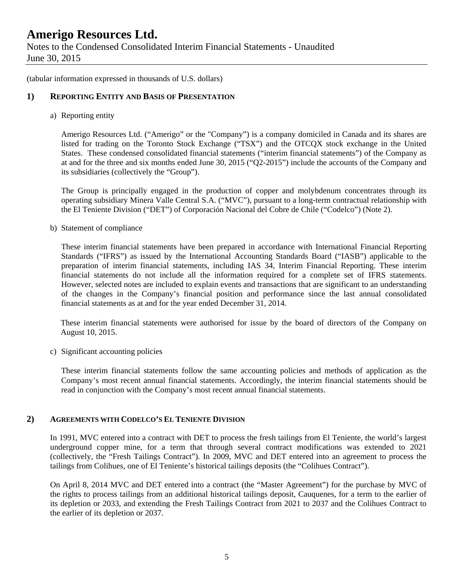Notes to the Condensed Consolidated Interim Financial Statements - Unaudited June 30, 2015

(tabular information expressed in thousands of U.S. dollars)

### **1) REPORTING ENTITY AND BASIS OF PRESENTATION**

a) Reporting entity

Amerigo Resources Ltd. ("Amerigo" or the "Company") is a company domiciled in Canada and its shares are listed for trading on the Toronto Stock Exchange ("TSX") and the OTCQX stock exchange in the United States. These condensed consolidated financial statements ("interim financial statements") of the Company as at and for the three and six months ended June 30, 2015 ("Q2-2015") include the accounts of the Company and its subsidiaries (collectively the "Group").

The Group is principally engaged in the production of copper and molybdenum concentrates through its operating subsidiary Minera Valle Central S.A. ("MVC"), pursuant to a long-term contractual relationship with the El Teniente Division ("DET") of Corporación Nacional del Cobre de Chile ("Codelco") (Note 2).

b) Statement of compliance

These interim financial statements have been prepared in accordance with International Financial Reporting Standards ("IFRS") as issued by the International Accounting Standards Board ("IASB") applicable to the preparation of interim financial statements, including IAS 34, Interim Financial Reporting. These interim financial statements do not include all the information required for a complete set of IFRS statements. However, selected notes are included to explain events and transactions that are significant to an understanding of the changes in the Company's financial position and performance since the last annual consolidated financial statements as at and for the year ended December 31, 2014.

 These interim financial statements were authorised for issue by the board of directors of the Company on August 10, 2015.

c) Significant accounting policies

These interim financial statements follow the same accounting policies and methods of application as the Company's most recent annual financial statements. Accordingly, the interim financial statements should be read in conjunction with the Company's most recent annual financial statements.

#### **2) AGREEMENTS WITH CODELCO'S EL TENIENTE DIVISION**

In 1991, MVC entered into a contract with DET to process the fresh tailings from El Teniente, the world's largest underground copper mine, for a term that through several contract modifications was extended to 2021 (collectively, the "Fresh Tailings Contract"). In 2009, MVC and DET entered into an agreement to process the tailings from Colihues, one of El Teniente's historical tailings deposits (the "Colihues Contract").

On April 8, 2014 MVC and DET entered into a contract (the "Master Agreement") for the purchase by MVC of the rights to process tailings from an additional historical tailings deposit, Cauquenes, for a term to the earlier of its depletion or 2033, and extending the Fresh Tailings Contract from 2021 to 2037 and the Colihues Contract to the earlier of its depletion or 2037.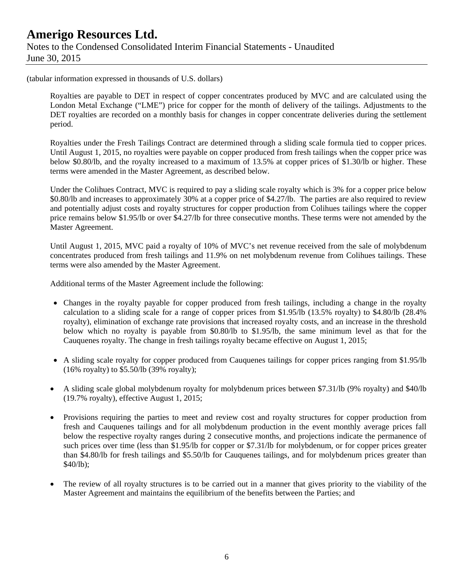# **Amerigo Resources Ltd.**  Notes to the Condensed Consolidated Interim Financial Statements - Unaudited June 30, 2015

(tabular information expressed in thousands of U.S. dollars)

Royalties are payable to DET in respect of copper concentrates produced by MVC and are calculated using the London Metal Exchange ("LME") price for copper for the month of delivery of the tailings. Adjustments to the DET royalties are recorded on a monthly basis for changes in copper concentrate deliveries during the settlement period.

Royalties under the Fresh Tailings Contract are determined through a sliding scale formula tied to copper prices. Until August 1, 2015, no royalties were payable on copper produced from fresh tailings when the copper price was below \$0.80/lb, and the royalty increased to a maximum of 13.5% at copper prices of \$1.30/lb or higher. These terms were amended in the Master Agreement, as described below.

Under the Colihues Contract, MVC is required to pay a sliding scale royalty which is 3% for a copper price below \$0.80/lb and increases to approximately 30% at a copper price of \$4.27/lb. The parties are also required to review and potentially adjust costs and royalty structures for copper production from Colihues tailings where the copper price remains below \$1.95/lb or over \$4.27/lb for three consecutive months. These terms were not amended by the Master Agreement.

Until August 1, 2015, MVC paid a royalty of 10% of MVC's net revenue received from the sale of molybdenum concentrates produced from fresh tailings and 11.9% on net molybdenum revenue from Colihues tailings. These terms were also amended by the Master Agreement.

Additional terms of the Master Agreement include the following:

- Changes in the royalty payable for copper produced from fresh tailings, including a change in the royalty calculation to a sliding scale for a range of copper prices from \$1.95/lb (13.5% royalty) to \$4.80/lb (28.4% royalty), elimination of exchange rate provisions that increased royalty costs, and an increase in the threshold below which no royalty is payable from \$0.80/lb to \$1.95/lb, the same minimum level as that for the Cauquenes royalty. The change in fresh tailings royalty became effective on August 1, 2015;
- A sliding scale royalty for copper produced from Cauquenes tailings for copper prices ranging from \$1.95/lb (16% royalty) to \$5.50/lb (39% royalty);
- A sliding scale global molybdenum royalty for molybdenum prices between \$7.31/lb (9% royalty) and \$40/lb (19.7% royalty), effective August 1, 2015;
- Provisions requiring the parties to meet and review cost and royalty structures for copper production from fresh and Cauquenes tailings and for all molybdenum production in the event monthly average prices fall below the respective royalty ranges during 2 consecutive months, and projections indicate the permanence of such prices over time (less than \$1.95/lb for copper or \$7.31/lb for molybdenum, or for copper prices greater than \$4.80/lb for fresh tailings and \$5.50/lb for Cauquenes tailings, and for molybdenum prices greater than \$40/lb);
- The review of all royalty structures is to be carried out in a manner that gives priority to the viability of the Master Agreement and maintains the equilibrium of the benefits between the Parties; and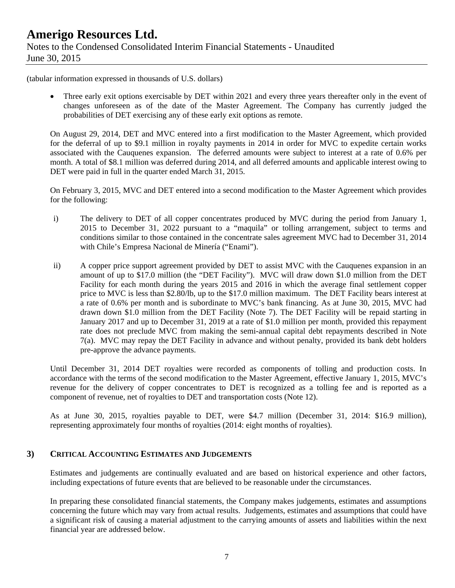(tabular information expressed in thousands of U.S. dollars)

 Three early exit options exercisable by DET within 2021 and every three years thereafter only in the event of changes unforeseen as of the date of the Master Agreement. The Company has currently judged the probabilities of DET exercising any of these early exit options as remote.

On August 29, 2014, DET and MVC entered into a first modification to the Master Agreement, which provided for the deferral of up to \$9.1 million in royalty payments in 2014 in order for MVC to expedite certain works associated with the Cauquenes expansion. The deferred amounts were subject to interest at a rate of 0.6% per month. A total of \$8.1 million was deferred during 2014, and all deferred amounts and applicable interest owing to DET were paid in full in the quarter ended March 31, 2015.

On February 3, 2015, MVC and DET entered into a second modification to the Master Agreement which provides for the following:

- i) The delivery to DET of all copper concentrates produced by MVC during the period from January 1, 2015 to December 31, 2022 pursuant to a "maquila" or tolling arrangement, subject to terms and conditions similar to those contained in the concentrate sales agreement MVC had to December 31, 2014 with Chile's Empresa Nacional de Minería ("Enami").
- ii) A copper price support agreement provided by DET to assist MVC with the Cauquenes expansion in an amount of up to \$17.0 million (the "DET Facility"). MVC will draw down \$1.0 million from the DET Facility for each month during the years 2015 and 2016 in which the average final settlement copper price to MVC is less than \$2.80/lb, up to the \$17.0 million maximum. The DET Facility bears interest at a rate of 0.6% per month and is subordinate to MVC's bank financing. As at June 30, 2015, MVC had drawn down \$1.0 million from the DET Facility (Note 7). The DET Facility will be repaid starting in January 2017 and up to December 31, 2019 at a rate of \$1.0 million per month, provided this repayment rate does not preclude MVC from making the semi-annual capital debt repayments described in Note 7(a). MVC may repay the DET Facility in advance and without penalty, provided its bank debt holders pre-approve the advance payments.

Until December 31, 2014 DET royalties were recorded as components of tolling and production costs. In accordance with the terms of the second modification to the Master Agreement, effective January 1, 2015, MVC's revenue for the delivery of copper concentrates to DET is recognized as a tolling fee and is reported as a component of revenue, net of royalties to DET and transportation costs (Note 12).

As at June 30, 2015, royalties payable to DET, were \$4.7 million (December 31, 2014: \$16.9 million), representing approximately four months of royalties (2014: eight months of royalties).

### **3) CRITICAL ACCOUNTING ESTIMATES AND JUDGEMENTS**

Estimates and judgements are continually evaluated and are based on historical experience and other factors, including expectations of future events that are believed to be reasonable under the circumstances.

In preparing these consolidated financial statements, the Company makes judgements, estimates and assumptions concerning the future which may vary from actual results. Judgements, estimates and assumptions that could have a significant risk of causing a material adjustment to the carrying amounts of assets and liabilities within the next financial year are addressed below.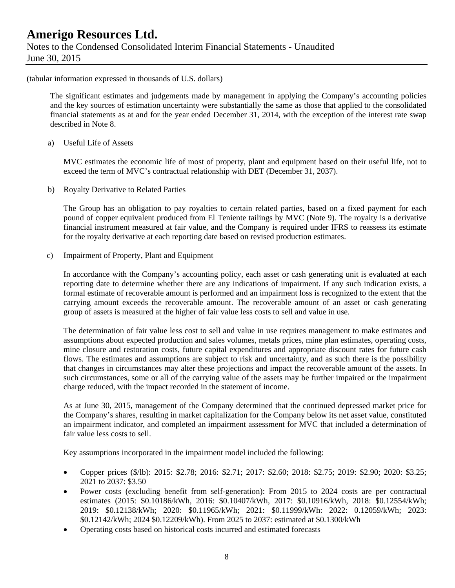# **Amerigo Resources Ltd.**  Notes to the Condensed Consolidated Interim Financial Statements - Unaudited June 30, 2015

(tabular information expressed in thousands of U.S. dollars)

The significant estimates and judgements made by management in applying the Company's accounting policies and the key sources of estimation uncertainty were substantially the same as those that applied to the consolidated financial statements as at and for the year ended December 31, 2014, with the exception of the interest rate swap described in Note 8.

a) Useful Life of Assets

MVC estimates the economic life of most of property, plant and equipment based on their useful life, not to exceed the term of MVC's contractual relationship with DET (December 31, 2037).

b) Royalty Derivative to Related Parties

The Group has an obligation to pay royalties to certain related parties, based on a fixed payment for each pound of copper equivalent produced from El Teniente tailings by MVC (Note 9). The royalty is a derivative financial instrument measured at fair value, and the Company is required under IFRS to reassess its estimate for the royalty derivative at each reporting date based on revised production estimates.

c) Impairment of Property, Plant and Equipment

In accordance with the Company's accounting policy, each asset or cash generating unit is evaluated at each reporting date to determine whether there are any indications of impairment. If any such indication exists, a formal estimate of recoverable amount is performed and an impairment loss is recognized to the extent that the carrying amount exceeds the recoverable amount. The recoverable amount of an asset or cash generating group of assets is measured at the higher of fair value less costs to sell and value in use.

The determination of fair value less cost to sell and value in use requires management to make estimates and assumptions about expected production and sales volumes, metals prices, mine plan estimates, operating costs, mine closure and restoration costs, future capital expenditures and appropriate discount rates for future cash flows. The estimates and assumptions are subject to risk and uncertainty, and as such there is the possibility that changes in circumstances may alter these projections and impact the recoverable amount of the assets. In such circumstances, some or all of the carrying value of the assets may be further impaired or the impairment charge reduced, with the impact recorded in the statement of income.

As at June 30, 2015, management of the Company determined that the continued depressed market price for the Company's shares, resulting in market capitalization for the Company below its net asset value, constituted an impairment indicator, and completed an impairment assessment for MVC that included a determination of fair value less costs to sell.

Key assumptions incorporated in the impairment model included the following:

- Copper prices (\$/lb): 2015: \$2.78; 2016: \$2.71; 2017: \$2.60; 2018: \$2.75; 2019: \$2.90; 2020: \$3.25; 2021 to 2037: \$3.50
- Power costs (excluding benefit from self-generation): From 2015 to 2024 costs are per contractual estimates (2015: \$0.10186/kWh, 2016: \$0.10407/kWh, 2017: \$0.10916/kWh, 2018: \$0.12554/kWh; 2019: \$0.12138/kWh; 2020: \$0.11965/kWh; 2021: \$0.11999/kWh: 2022: 0.12059/kWh; 2023: \$0.12142/kWh; 2024 \$0.12209/kWh). From 2025 to 2037: estimated at \$0.1300/kWh
- Operating costs based on historical costs incurred and estimated forecasts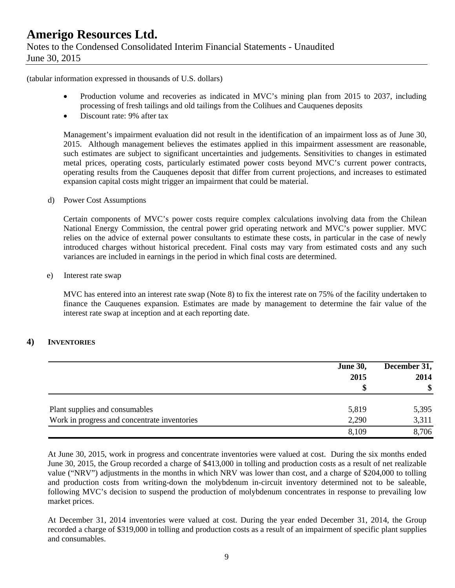(tabular information expressed in thousands of U.S. dollars)

- Production volume and recoveries as indicated in MVC's mining plan from 2015 to 2037, including processing of fresh tailings and old tailings from the Colihues and Cauquenes deposits
- Discount rate: 9% after tax

Management's impairment evaluation did not result in the identification of an impairment loss as of June 30, 2015. Although management believes the estimates applied in this impairment assessment are reasonable, such estimates are subject to significant uncertainties and judgements. Sensitivities to changes in estimated metal prices, operating costs, particularly estimated power costs beyond MVC's current power contracts, operating results from the Cauquenes deposit that differ from current projections, and increases to estimated expansion capital costs might trigger an impairment that could be material.

d) Power Cost Assumptions

Certain components of MVC's power costs require complex calculations involving data from the Chilean National Energy Commission, the central power grid operating network and MVC's power supplier. MVC relies on the advice of external power consultants to estimate these costs, in particular in the case of newly introduced charges without historical precedent. Final costs may vary from estimated costs and any such variances are included in earnings in the period in which final costs are determined.

e) Interest rate swap

MVC has entered into an interest rate swap (Note 8) to fix the interest rate on 75% of the facility undertaken to finance the Cauquenes expansion. Estimates are made by management to determine the fair value of the interest rate swap at inception and at each reporting date.

#### **4) INVENTORIES**

|                                              | <b>June 30,</b><br>2015 | December 31,<br>2014<br>\$ |
|----------------------------------------------|-------------------------|----------------------------|
| Plant supplies and consumables               | 5,819                   | 5,395                      |
| Work in progress and concentrate inventories | 2,290                   | 3,311                      |
|                                              | 8,109                   | 8,706                      |

At June 30, 2015, work in progress and concentrate inventories were valued at cost. During the six months ended June 30, 2015, the Group recorded a charge of \$413,000 in tolling and production costs as a result of net realizable value ("NRV") adjustments in the months in which NRV was lower than cost, and a charge of \$204,000 to tolling and production costs from writing-down the molybdenum in-circuit inventory determined not to be saleable, following MVC's decision to suspend the production of molybdenum concentrates in response to prevailing low market prices.

At December 31, 2014 inventories were valued at cost. During the year ended December 31, 2014, the Group recorded a charge of \$319,000 in tolling and production costs as a result of an impairment of specific plant supplies and consumables.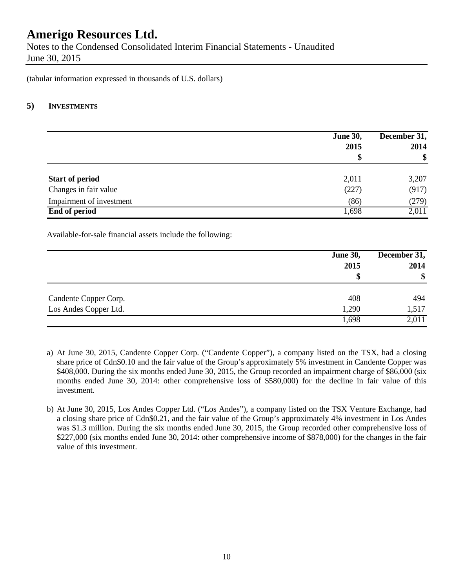Notes to the Condensed Consolidated Interim Financial Statements - Unaudited June 30, 2015

(tabular information expressed in thousands of U.S. dollars)

### **5) INVESTMENTS**

|                          | <b>June 30,</b><br>2015<br>\$ | December 31,<br>2014<br>\$ |
|--------------------------|-------------------------------|----------------------------|
| <b>Start of period</b>   | 2,011                         | 3,207                      |
| Changes in fair value    | (227)                         | (917)                      |
| Impairment of investment | (86)                          | (279)                      |
| <b>End of period</b>     | 1,698                         | 2,011                      |

Available-for-sale financial assets include the following:

|                       | <b>June 30,</b><br>2015<br>\$ | December 31,<br>2014<br>\$ |
|-----------------------|-------------------------------|----------------------------|
| Candente Copper Corp. | 408                           | 494                        |
| Los Andes Copper Ltd. | 1,290                         | 1,517                      |
|                       | 1,698                         | 2,011                      |

- a) At June 30, 2015, Candente Copper Corp. ("Candente Copper"), a company listed on the TSX, had a closing share price of Cdn\$0.10 and the fair value of the Group's approximately 5% investment in Candente Copper was \$408,000. During the six months ended June 30, 2015, the Group recorded an impairment charge of \$86,000 (six months ended June 30, 2014: other comprehensive loss of \$580,000) for the decline in fair value of this investment.
- b) At June 30, 2015, Los Andes Copper Ltd. ("Los Andes"), a company listed on the TSX Venture Exchange, had a closing share price of Cdn\$0.21, and the fair value of the Group's approximately 4% investment in Los Andes was \$1.3 million. During the six months ended June 30, 2015, the Group recorded other comprehensive loss of \$227,000 (six months ended June 30, 2014: other comprehensive income of \$878,000) for the changes in the fair value of this investment.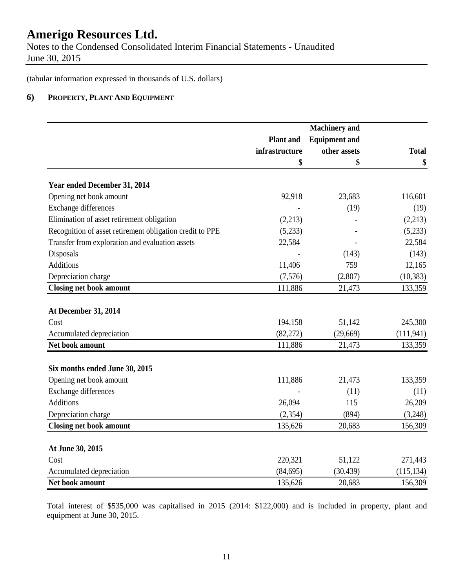Notes to the Condensed Consolidated Interim Financial Statements - Unaudited June 30, 2015

(tabular information expressed in thousands of U.S. dollars)

### **6) PROPERTY, PLANT AND EQUIPMENT**

|                                                          |                  | <b>Machinery</b> and |              |
|----------------------------------------------------------|------------------|----------------------|--------------|
|                                                          | <b>Plant</b> and | <b>Equipment and</b> |              |
|                                                          | infrastructure   | other assets         | <b>Total</b> |
|                                                          | \$               | \$                   | \$           |
| Year ended December 31, 2014                             |                  |                      |              |
| Opening net book amount                                  | 92,918           | 23,683               | 116,601      |
| Exchange differences                                     |                  | (19)                 | (19)         |
| Elimination of asset retirement obligation               | (2,213)          |                      | (2,213)      |
| Recognition of asset retirement obligation credit to PPE | (5,233)          |                      | (5,233)      |
| Transfer from exploration and evaluation assets          | 22,584           |                      | 22,584       |
| Disposals                                                |                  | (143)                | (143)        |
| <b>Additions</b>                                         | 11,406           | 759                  | 12,165       |
| Depreciation charge                                      | (7,576)          | (2,807)              | (10, 383)    |
| <b>Closing net book amount</b>                           | 111,886          | 21,473               | 133,359      |
| At December 31, 2014                                     |                  |                      |              |
| Cost                                                     | 194,158          | 51,142               | 245,300      |
| Accumulated depreciation                                 | (82, 272)        | (29,669)             | (111, 941)   |
| Net book amount                                          | 111,886          | 21,473               | 133,359      |
| Six months ended June 30, 2015                           |                  |                      |              |
| Opening net book amount                                  | 111,886          | 21,473               | 133,359      |
| Exchange differences                                     |                  | (11)                 | (11)         |
| <b>Additions</b>                                         | 26,094           | 115                  | 26,209       |
| Depreciation charge                                      | (2, 354)         | (894)                | (3,248)      |
| <b>Closing net book amount</b>                           | 135,626          | 20,683               | 156,309      |
|                                                          |                  |                      |              |
| At June 30, 2015                                         |                  |                      |              |
| Cost                                                     | 220,321          | 51,122               | 271,443      |
| Accumulated depreciation                                 | (84, 695)        | (30, 439)            | (115, 134)   |
| Net book amount                                          | 135,626          | 20,683               | 156,309      |

Total interest of \$535,000 was capitalised in 2015 (2014: \$122,000) and is included in property, plant and equipment at June 30, 2015.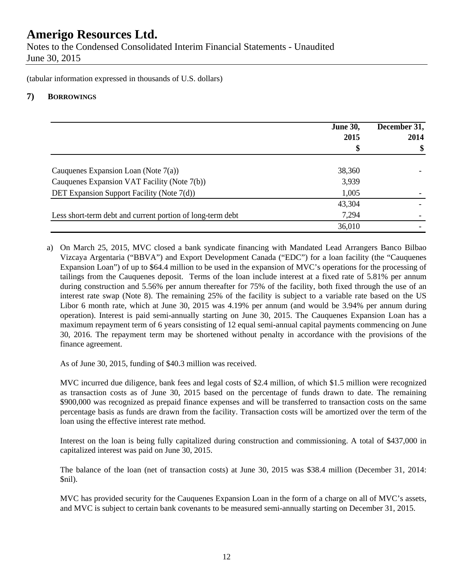Notes to the Condensed Consolidated Interim Financial Statements - Unaudited June 30, 2015

(tabular information expressed in thousands of U.S. dollars)

### **7) BORROWINGS**

|                                                            | <b>June 30,</b><br>2015<br>\$ | December 31,<br>2014<br>\$ |
|------------------------------------------------------------|-------------------------------|----------------------------|
|                                                            |                               |                            |
| Cauquenes Expansion Loan (Note $7(a)$ )                    | 38,360                        |                            |
| Cauquenes Expansion VAT Facility (Note 7(b))               | 3,939                         |                            |
| DET Expansion Support Facility (Note 7(d))                 | 1,005                         |                            |
|                                                            | 43,304                        |                            |
| Less short-term debt and current portion of long-term debt | 7,294                         |                            |
|                                                            | 36,010                        |                            |

a) On March 25, 2015, MVC closed a bank syndicate financing with Mandated Lead Arrangers Banco Bilbao Vizcaya Argentaria ("BBVA") and Export Development Canada ("EDC") for a loan facility (the "Cauquenes Expansion Loan") of up to \$64.4 million to be used in the expansion of MVC's operations for the processing of tailings from the Cauquenes deposit. Terms of the loan include interest at a fixed rate of 5.81% per annum during construction and 5.56% per annum thereafter for 75% of the facility, both fixed through the use of an interest rate swap (Note 8). The remaining 25% of the facility is subject to a variable rate based on the US Libor 6 month rate, which at June 30, 2015 was 4.19% per annum (and would be 3.94% per annum during operation). Interest is paid semi-annually starting on June 30, 2015. The Cauquenes Expansion Loan has a maximum repayment term of 6 years consisting of 12 equal semi-annual capital payments commencing on June 30, 2016. The repayment term may be shortened without penalty in accordance with the provisions of the finance agreement.

As of June 30, 2015, funding of \$40.3 million was received.

MVC incurred due diligence, bank fees and legal costs of \$2.4 million, of which \$1.5 million were recognized as transaction costs as of June 30, 2015 based on the percentage of funds drawn to date. The remaining \$900,000 was recognized as prepaid finance expenses and will be transferred to transaction costs on the same percentage basis as funds are drawn from the facility. Transaction costs will be amortized over the term of the loan using the effective interest rate method.

Interest on the loan is being fully capitalized during construction and commissioning. A total of \$437,000 in capitalized interest was paid on June 30, 2015.

The balance of the loan (net of transaction costs) at June 30, 2015 was \$38.4 million (December 31, 2014: \$nil).

MVC has provided security for the Cauquenes Expansion Loan in the form of a charge on all of MVC's assets, and MVC is subject to certain bank covenants to be measured semi-annually starting on December 31, 2015.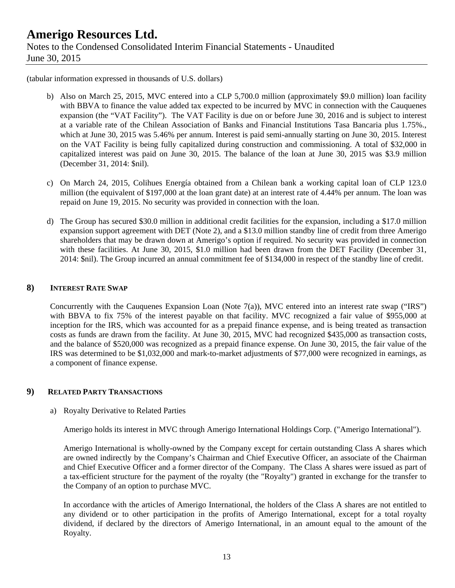# **Amerigo Resources Ltd.**  Notes to the Condensed Consolidated Interim Financial Statements - Unaudited June 30, 2015

(tabular information expressed in thousands of U.S. dollars)

- b) Also on March 25, 2015, MVC entered into a CLP 5,700.0 million (approximately \$9.0 million) loan facility with BBVA to finance the value added tax expected to be incurred by MVC in connection with the Cauquenes expansion (the "VAT Facility"). The VAT Facility is due on or before June 30, 2016 and is subject to interest at a variable rate of the Chilean Association of Banks and Financial Institutions Tasa Bancaria plus 1.75%., which at June 30, 2015 was 5.46% per annum. Interest is paid semi-annually starting on June 30, 2015. Interest on the VAT Facility is being fully capitalized during construction and commissioning. A total of \$32,000 in capitalized interest was paid on June 30, 2015. The balance of the loan at June 30, 2015 was \$3.9 million (December 31, 2014: \$nil).
- c) On March 24, 2015, Colihues Energía obtained from a Chilean bank a working capital loan of CLP 123.0 million (the equivalent of \$197,000 at the loan grant date) at an interest rate of 4.44% per annum. The loan was repaid on June 19, 2015. No security was provided in connection with the loan.
- d) The Group has secured \$30.0 million in additional credit facilities for the expansion, including a \$17.0 million expansion support agreement with DET (Note 2), and a \$13.0 million standby line of credit from three Amerigo shareholders that may be drawn down at Amerigo's option if required. No security was provided in connection with these facilities. At June 30, 2015, \$1.0 million had been drawn from the DET Facility (December 31, 2014: \$nil). The Group incurred an annual commitment fee of \$134,000 in respect of the standby line of credit.

#### **8) INTEREST RATE SWAP**

Concurrently with the Cauquenes Expansion Loan (Note  $7(a)$ ), MVC entered into an interest rate swap ("IRS") with BBVA to fix 75% of the interest payable on that facility. MVC recognized a fair value of \$955,000 at inception for the IRS, which was accounted for as a prepaid finance expense, and is being treated as transaction costs as funds are drawn from the facility. At June 30, 2015, MVC had recognized \$435,000 as transaction costs, and the balance of \$520,000 was recognized as a prepaid finance expense. On June 30, 2015, the fair value of the IRS was determined to be \$1,032,000 and mark-to-market adjustments of \$77,000 were recognized in earnings, as a component of finance expense.

### **9) RELATED PARTY TRANSACTIONS**

#### a) Royalty Derivative to Related Parties

Amerigo holds its interest in MVC through Amerigo International Holdings Corp. ("Amerigo International").

Amerigo International is wholly-owned by the Company except for certain outstanding Class A shares which are owned indirectly by the Company's Chairman and Chief Executive Officer, an associate of the Chairman and Chief Executive Officer and a former director of the Company. The Class A shares were issued as part of a tax-efficient structure for the payment of the royalty (the "Royalty") granted in exchange for the transfer to the Company of an option to purchase MVC.

In accordance with the articles of Amerigo International, the holders of the Class A shares are not entitled to any dividend or to other participation in the profits of Amerigo International, except for a total royalty dividend, if declared by the directors of Amerigo International, in an amount equal to the amount of the Royalty.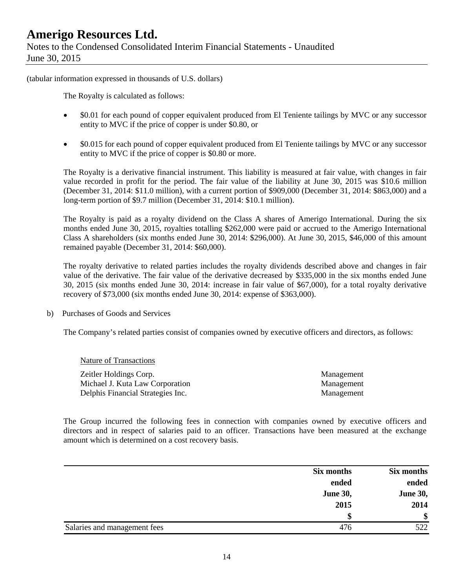Notes to the Condensed Consolidated Interim Financial Statements - Unaudited June 30, 2015

(tabular information expressed in thousands of U.S. dollars)

The Royalty is calculated as follows:

- \$0.01 for each pound of copper equivalent produced from El Teniente tailings by MVC or any successor entity to MVC if the price of copper is under \$0.80, or
- $\bullet$  \$0.015 for each pound of copper equivalent produced from El Teniente tailings by MVC or any successor entity to MVC if the price of copper is \$0.80 or more.

The Royalty is a derivative financial instrument. This liability is measured at fair value, with changes in fair value recorded in profit for the period. The fair value of the liability at June 30, 2015 was \$10.6 million (December 31, 2014: \$11.0 million), with a current portion of \$909,000 (December 31, 2014: \$863,000) and a long-term portion of \$9.7 million (December 31, 2014: \$10.1 million).

The Royalty is paid as a royalty dividend on the Class A shares of Amerigo International. During the six months ended June 30, 2015, royalties totalling \$262,000 were paid or accrued to the Amerigo International Class A shareholders (six months ended June 30, 2014: \$296,000). At June 30, 2015, \$46,000 of this amount remained payable (December 31, 2014: \$60,000).

The royalty derivative to related parties includes the royalty dividends described above and changes in fair value of the derivative. The fair value of the derivative decreased by \$335,000 in the six months ended June 30, 2015 (six months ended June 30, 2014: increase in fair value of \$67,000), for a total royalty derivative recovery of \$73,000 (six months ended June 30, 2014: expense of \$363,000).

b) Purchases of Goods and Services

The Company's related parties consist of companies owned by executive officers and directors, as follows:

| Nature of Transactions            |            |
|-----------------------------------|------------|
| Zeitler Holdings Corp.            | Management |
| Michael J. Kuta Law Corporation   | Management |
| Delphis Financial Strategies Inc. | Management |

The Group incurred the following fees in connection with companies owned by executive officers and directors and in respect of salaries paid to an officer. Transactions have been measured at the exchange amount which is determined on a cost recovery basis.

|                              | Six months      | Six months      |
|------------------------------|-----------------|-----------------|
|                              | ended           | ended           |
|                              | <b>June 30,</b> | <b>June 30,</b> |
|                              | 2015            | 2014            |
|                              | \$              | \$              |
| Salaries and management fees | 476             | 522             |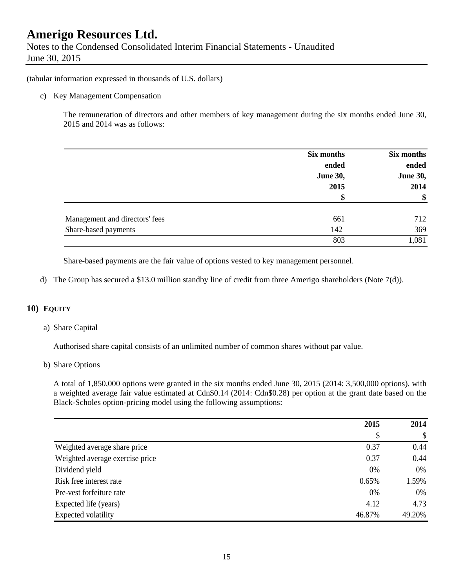Notes to the Condensed Consolidated Interim Financial Statements - Unaudited June 30, 2015

(tabular information expressed in thousands of U.S. dollars)

c) Key Management Compensation

The remuneration of directors and other members of key management during the six months ended June 30, 2015 and 2014 was as follows:

|                                | Six months      | Six months      |
|--------------------------------|-----------------|-----------------|
|                                | ended           | ended           |
|                                | <b>June 30,</b> | <b>June 30,</b> |
|                                | 2015            | 2014            |
|                                | \$              | \$              |
| Management and directors' fees | 661             | 712             |
| Share-based payments           | 142             | 369             |
|                                | 803             | 1,081           |

Share-based payments are the fair value of options vested to key management personnel.

d) The Group has secured a \$13.0 million standby line of credit from three Amerigo shareholders (Note 7(d)).

#### **10) EQUITY**

a) Share Capital

Authorised share capital consists of an unlimited number of common shares without par value.

b) Share Options

A total of 1,850,000 options were granted in the six months ended June 30, 2015 (2014: 3,500,000 options), with a weighted average fair value estimated at Cdn\$0.14 (2014: Cdn\$0.28) per option at the grant date based on the Black-Scholes option-pricing model using the following assumptions:

|                                 | 2015   | 2014   |
|---------------------------------|--------|--------|
|                                 | S      | \$     |
| Weighted average share price    | 0.37   | 0.44   |
| Weighted average exercise price | 0.37   | 0.44   |
| Dividend yield                  | 0%     | 0%     |
| Risk free interest rate         | 0.65%  | 1.59%  |
| Pre-vest forfeiture rate        | 0%     | 0%     |
| Expected life (years)           | 4.12   | 4.73   |
| Expected volatility             | 46.87% | 49.20% |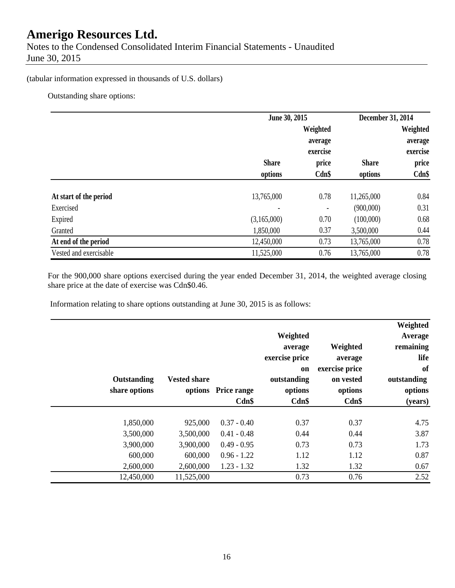Notes to the Condensed Consolidated Interim Financial Statements - Unaudited June 30, 2015

### (tabular information expressed in thousands of U.S. dollars)

Outstanding share options:

|                        | June 30, 2015 |                          | December 31, 2014 |                     |  |
|------------------------|---------------|--------------------------|-------------------|---------------------|--|
|                        |               | Weighted<br>average      |                   | Weighted<br>average |  |
|                        |               | exercise                 |                   | exercise            |  |
|                        | <b>Share</b>  | price                    | <b>Share</b>      | price               |  |
|                        | options       | Cdn\$                    | options           | $Cdn$ \$            |  |
| At start of the period | 13,765,000    | 0.78                     | 11,265,000        | 0.84                |  |
| Exercised              |               | $\overline{\phantom{a}}$ | (900,000)         | 0.31                |  |
| Expired                | (3,165,000)   | 0.70                     | (100,000)         | 0.68                |  |
| Granted                | 1,850,000     | 0.37                     | 3,500,000         | 0.44                |  |
| At end of the period   | 12,450,000    | 0.73                     | 13,765,000        | 0.78                |  |
| Vested and exercisable | 11,525,000    | 0.76                     | 13,765,000        | 0.78                |  |

For the 900,000 share options exercised during the year ended December 31, 2014, the weighted average closing share price at the date of exercise was Cdn\$0.46.

Information relating to share options outstanding at June 30, 2015 is as follows:

| Weighted<br>Average<br>remaining<br>life<br>of<br>outstanding<br>options<br>(years) | Weighted<br>average<br>exercise price<br>on vested<br>options<br>Cdn\$ | Weighted<br>average<br>exercise price<br>on<br>outstanding<br>options<br>Cdn\$ | options Price range<br>Cdn\$ | <b>Vested share</b> | Outstanding<br>share options |
|-------------------------------------------------------------------------------------|------------------------------------------------------------------------|--------------------------------------------------------------------------------|------------------------------|---------------------|------------------------------|
| 4.75                                                                                | 0.37                                                                   | 0.37                                                                           | $0.37 - 0.40$                | 925,000             | 1,850,000                    |
| 3.87                                                                                | 0.44                                                                   | 0.44                                                                           | $0.41 - 0.48$                | 3,500,000           | 3,500,000                    |
| 1.73                                                                                | 0.73                                                                   | 0.73                                                                           | $0.49 - 0.95$                | 3,900,000           | 3,900,000                    |
| 0.87                                                                                | 1.12                                                                   | 1.12                                                                           | $0.96 - 1.22$                | 600,000             | 600,000                      |
| 0.67                                                                                | 1.32                                                                   | 1.32                                                                           | $1.23 - 1.32$                | 2,600,000           | 2,600,000                    |
| 2.52                                                                                | 0.76                                                                   | 0.73                                                                           |                              | 11,525,000          | 12,450,000                   |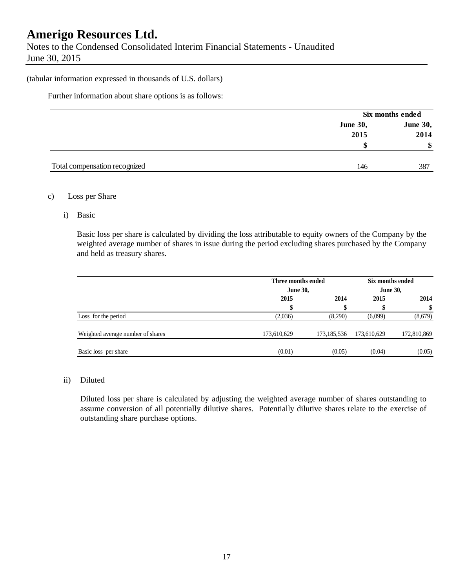Notes to the Condensed Consolidated Interim Financial Statements - Unaudited June 30, 2015

#### (tabular information expressed in thousands of U.S. dollars)

Further information about share options is as follows:

|                               |                 | Six months ended |
|-------------------------------|-----------------|------------------|
|                               | <b>June 30,</b> | <b>June 30,</b>  |
|                               | 2015            | 2014             |
|                               | S               | \$               |
|                               |                 |                  |
| Total compensation recognized | 146             | 387              |

#### c) Loss per Share

i) Basic

Basic loss per share is calculated by dividing the loss attributable to equity owners of the Company by the weighted average number of shares in issue during the period excluding shares purchased by the Company and held as treasury shares.

|                                   | Three months ended<br><b>June 30,</b> |             | Six months ended<br><b>June 30,</b> |             |
|-----------------------------------|---------------------------------------|-------------|-------------------------------------|-------------|
|                                   | 2015                                  | 2014        | 2015                                | 2014        |
|                                   |                                       | \$          | S                                   | \$          |
| Loss for the period               | (2,036)                               | (8,290)     | (6,099)                             | (8,679)     |
| Weighted average number of shares | 173,610,629                           | 173,185,536 | 173,610,629                         | 172,810,869 |
| Basic loss per share              | (0.01)                                | (0.05)      | (0.04)                              | (0.05)      |

#### ii) Diluted

Diluted loss per share is calculated by adjusting the weighted average number of shares outstanding to assume conversion of all potentially dilutive shares. Potentially dilutive shares relate to the exercise of outstanding share purchase options.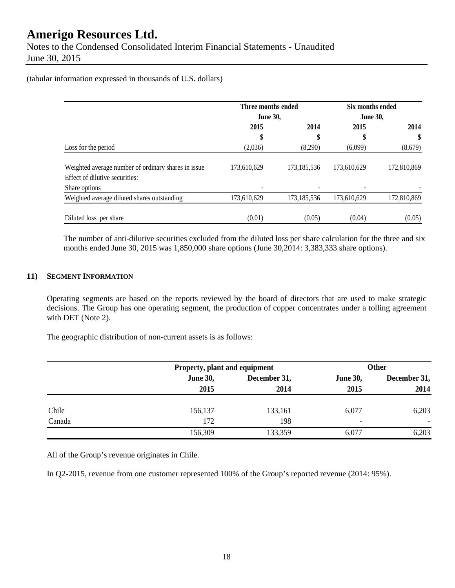Notes to the Condensed Consolidated Interim Financial Statements - Unaudited June 30, 2015

(tabular information expressed in thousands of U.S. dollars)

|                                                                                       | Three months ended |               | Six months ended<br><b>June 30,</b> |             |  |
|---------------------------------------------------------------------------------------|--------------------|---------------|-------------------------------------|-------------|--|
|                                                                                       | <b>June 30,</b>    |               |                                     |             |  |
|                                                                                       | 2015               | 2014          | 2015                                | 2014        |  |
|                                                                                       | \$                 | \$            | \$                                  | \$          |  |
| Loss for the period                                                                   | (2,036)            | (8,290)       | (6,099)                             | (8,679)     |  |
| Weighted average number of ordinary shares in issue<br>Effect of dilutive securities: | 173,610,629        | 173, 185, 536 | 173,610,629                         | 172,810,869 |  |
| Share options                                                                         |                    |               |                                     |             |  |
| Weighted average diluted shares outstanding                                           | 173,610,629        | 173,185,536   | 173,610,629                         | 172,810,869 |  |
| Diluted loss per share                                                                | (0.01)             | (0.05)        | (0.04)                              | (0.05)      |  |

The number of anti-dilutive securities excluded from the diluted loss per share calculation for the three and six months ended June 30, 2015 was 1,850,000 share options (June 30,2014: 3,383,333 share options).

#### **11) SEGMENT INFORMATION**

Operating segments are based on the reports reviewed by the board of directors that are used to make strategic decisions. The Group has one operating segment, the production of copper concentrates under a tolling agreement with DET (Note 2).

The geographic distribution of non-current assets is as follows:

|        |                 | Property, plant and equipment |                 | <b>Other</b>             |  |
|--------|-----------------|-------------------------------|-----------------|--------------------------|--|
|        | <b>June 30,</b> | December 31,                  | <b>June 30,</b> | December 31,             |  |
|        | 2015            | 2014                          | 2015            | 2014                     |  |
| Chile  | 156,137         | 133,161                       | 6,077           | 6,203                    |  |
| Canada | 172             | 198                           | -               | $\overline{\phantom{0}}$ |  |
|        | 156,309         | 133,359                       | 6,077           | 6,203                    |  |

All of the Group's revenue originates in Chile.

In Q2-2015, revenue from one customer represented 100% of the Group's reported revenue (2014: 95%).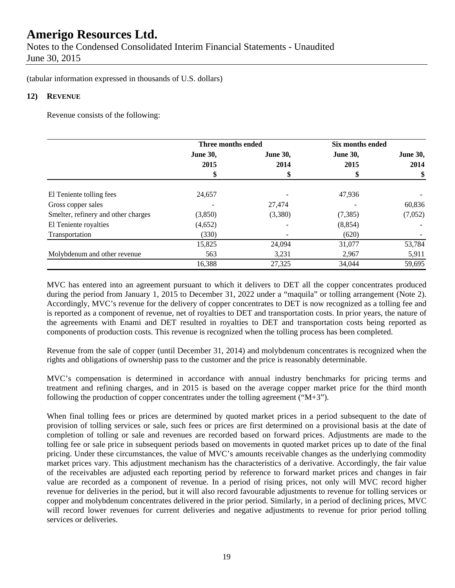(tabular information expressed in thousands of U.S. dollars)

#### **12) REVENUE**

Revenue consists of the following:

|                                     | Three months ended |                 | Six months ended |                 |
|-------------------------------------|--------------------|-----------------|------------------|-----------------|
|                                     | <b>June 30,</b>    | <b>June 30,</b> | <b>June 30,</b>  | <b>June 30,</b> |
|                                     | 2015               | 2014            | 2015             | 2014            |
|                                     |                    |                 |                  | \$              |
| El Teniente tolling fees            | 24,657             |                 | 47,936           |                 |
| Gross copper sales                  |                    | 27,474          |                  | 60,836          |
| Smelter, refinery and other charges | (3,850)            | (3,380)         | (7, 385)         | (7,052)         |
| El Teniente royalties               | (4,652)            |                 | (8, 854)         |                 |
| Transportation                      | (330)              |                 | (620)            |                 |
|                                     | 15,825             | 24,094          | 31,077           | 53,784          |
| Molybdenum and other revenue        | 563                | 3,231           | 2,967            | 5,911           |
|                                     | 16,388             | 27,325          | 34,044           | 59,695          |

MVC has entered into an agreement pursuant to which it delivers to DET all the copper concentrates produced during the period from January 1, 2015 to December 31, 2022 under a "maquila" or tolling arrangement (Note 2). Accordingly, MVC's revenue for the delivery of copper concentrates to DET is now recognized as a tolling fee and is reported as a component of revenue, net of royalties to DET and transportation costs. In prior years, the nature of the agreements with Enami and DET resulted in royalties to DET and transportation costs being reported as components of production costs. This revenue is recognized when the tolling process has been completed.

Revenue from the sale of copper (until December 31, 2014) and molybdenum concentrates is recognized when the rights and obligations of ownership pass to the customer and the price is reasonably determinable.

MVC's compensation is determined in accordance with annual industry benchmarks for pricing terms and treatment and refining charges, and in 2015 is based on the average copper market price for the third month following the production of copper concentrates under the tolling agreement ( $(M+3)$ ).

When final tolling fees or prices are determined by quoted market prices in a period subsequent to the date of provision of tolling services or sale, such fees or prices are first determined on a provisional basis at the date of completion of tolling or sale and revenues are recorded based on forward prices. Adjustments are made to the tolling fee or sale price in subsequent periods based on movements in quoted market prices up to date of the final pricing. Under these circumstances, the value of MVC's amounts receivable changes as the underlying commodity market prices vary. This adjustment mechanism has the characteristics of a derivative. Accordingly, the fair value of the receivables are adjusted each reporting period by reference to forward market prices and changes in fair value are recorded as a component of revenue. In a period of rising prices, not only will MVC record higher revenue for deliveries in the period, but it will also record favourable adjustments to revenue for tolling services or copper and molybdenum concentrates delivered in the prior period. Similarly, in a period of declining prices, MVC will record lower revenues for current deliveries and negative adjustments to revenue for prior period tolling services or deliveries.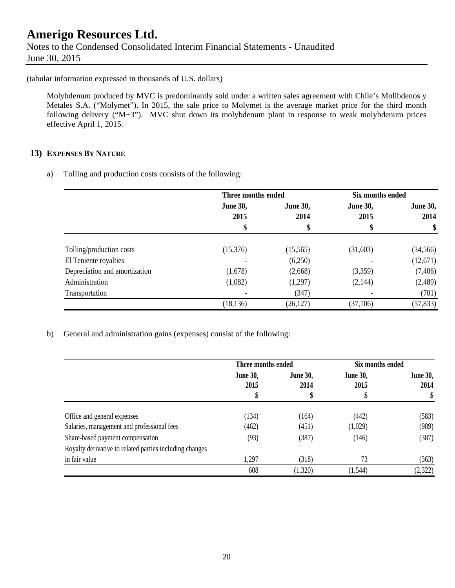# **Amerigo Resources Ltd.**  Notes to the Condensed Consolidated Interim Financial Statements - Unaudited June 30, 2015

(tabular information expressed in thousands of U.S. dollars)

Molybdenum produced by MVC is predominantly sold under a written sales agreement with Chile's Molibdenos y Metales S.A. ("Molymet"). In 2015, the sale price to Molymet is the average market price for the third month following delivery ("M+3"). MVC shut down its molybdenum plant in response to weak molybdenum prices effective April 1, 2015.

### **13) EXPENSES BY NATURE**

a) Tolling and production costs consists of the following:

|                               | Three months ended |                 | Six months ended |                 |
|-------------------------------|--------------------|-----------------|------------------|-----------------|
|                               | <b>June 30,</b>    | <b>June 30,</b> | <b>June 30,</b>  | <b>June 30,</b> |
|                               | 2015               | 2014            | 2015             | 2014            |
|                               | \$                 |                 |                  | \$              |
| Tolling/production costs      | (15,376)           | (15, 565)       | (31,603)         | (34, 566)       |
| El Teniente royalties         |                    | (6,250)         |                  | (12,671)        |
|                               |                    |                 |                  |                 |
| Depreciation and amortization | (1,678)            | (2,668)         | (3,359)          | (7,406)         |
| Administration                | (1,082)            | (1,297)         | (2,144)          | (2,489)         |
| Transportation                |                    | (347)           |                  | (701)           |
|                               | (18, 136)          | (26, 127)       | (37,106)         | (57, 833)       |

b) General and administration gains (expenses) consist of the following:

|                                                         | Three months ended      |                         | Six months ended        |                         |
|---------------------------------------------------------|-------------------------|-------------------------|-------------------------|-------------------------|
|                                                         | <b>June 30,</b><br>2015 | <b>June 30,</b><br>2014 | <b>June 30,</b><br>2015 | <b>June 30,</b><br>2014 |
|                                                         |                         | \$                      |                         | \$                      |
| Office and general expenses                             | (134)                   | (164)                   | (442)                   | (583)                   |
| Salaries, management and professional fees              | (462)                   | (451)                   | (1,029)                 | (989)                   |
| Share-based payment compensation                        | (93)                    | (387)                   | (146)                   | (387)                   |
| Royalty derivative to related parties including changes |                         |                         |                         |                         |
| in fair value                                           | 1,297                   | (318)                   | 73                      | (363)                   |
|                                                         | 608                     | (1,320)                 | (1, 544)                | (2,322)                 |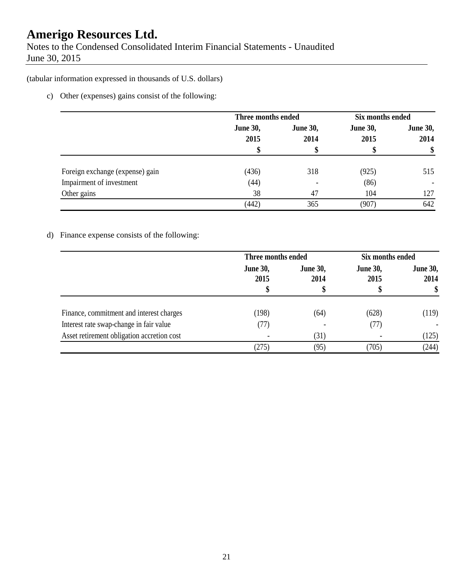Notes to the Condensed Consolidated Interim Financial Statements - Unaudited June 30, 2015

(tabular information expressed in thousands of U.S. dollars)

c) Other (expenses) gains consist of the following:

|                                 | Three months ended      |                         | Six months ended        |                          |
|---------------------------------|-------------------------|-------------------------|-------------------------|--------------------------|
|                                 | <b>June 30,</b><br>2015 | <b>June 30,</b><br>2014 | <b>June 30,</b><br>2015 | <b>June 30,</b><br>2014  |
|                                 |                         |                         |                         | \$                       |
| Foreign exchange (expense) gain | (436)                   | 318                     | (925)                   | 515                      |
| Impairment of investment        | (44)                    |                         | (86)                    | $\overline{\phantom{a}}$ |
| Other gains                     | 38                      | 47                      | 104                     | 127                      |
|                                 | (442)                   | 365                     | (907)                   | 642                      |

## d) Finance expense consists of the following:

|                                            | Three months ended      |                         | Six months ended        |                         |
|--------------------------------------------|-------------------------|-------------------------|-------------------------|-------------------------|
|                                            | <b>June 30,</b><br>2015 | <b>June 30,</b><br>2014 | <b>June 30,</b><br>2015 | <b>June 30,</b><br>2014 |
|                                            |                         | Φ                       |                         | \$                      |
| Finance, commitment and interest charges   | (198)                   | (64)                    | (628)                   | (119)                   |
| Interest rate swap-change in fair value    | (77)                    |                         | (77)                    |                         |
| Asset retirement obligation accretion cost |                         | (31)                    |                         | (125)                   |
|                                            | (275)                   | (95)                    | (705)                   | (244)                   |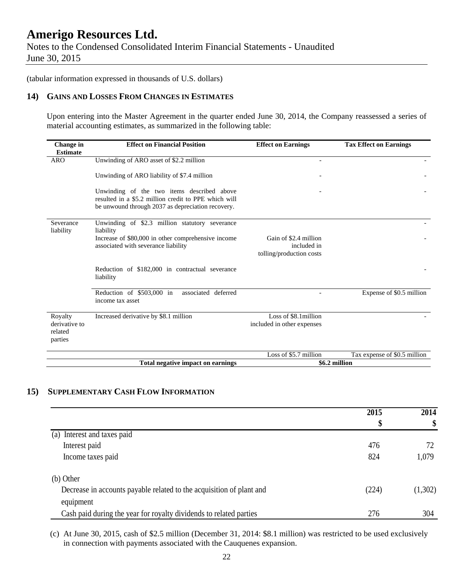Notes to the Condensed Consolidated Interim Financial Statements - Unaudited June 30, 2015

(tabular information expressed in thousands of U.S. dollars)

#### **14) GAINS AND LOSSES FROM CHANGES IN ESTIMATES**

Upon entering into the Master Agreement in the quarter ended June 30, 2014, the Company reassessed a series of material accounting estimates, as summarized in the following table:

| Change in<br><b>Estimate</b>                   | <b>Effect on Financial Position</b>                                                                                                                     | <b>Effect on Earnings</b>                                        | <b>Tax Effect on Earnings</b> |  |
|------------------------------------------------|---------------------------------------------------------------------------------------------------------------------------------------------------------|------------------------------------------------------------------|-------------------------------|--|
| <b>ARO</b>                                     | Unwinding of ARO asset of \$2.2 million                                                                                                                 |                                                                  |                               |  |
|                                                | Unwinding of ARO liability of \$7.4 million                                                                                                             |                                                                  |                               |  |
|                                                | Unwinding of the two items described above<br>resulted in a \$5.2 million credit to PPE which will<br>be unwound through 2037 as depreciation recovery. |                                                                  |                               |  |
| Severance<br>liability                         | Unwinding of \$2.3 million statutory severance<br>liability                                                                                             |                                                                  |                               |  |
|                                                | Increase of \$80,000 in other comprehensive income<br>associated with severance liability                                                               | Gain of \$2.4 million<br>included in<br>tolling/production costs |                               |  |
|                                                | Reduction of \$182,000 in contractual severance<br>liability                                                                                            |                                                                  |                               |  |
|                                                | Reduction of \$503,000 in<br>associated deferred<br>income tax asset                                                                                    |                                                                  | Expense of \$0.5 million      |  |
| Royalty<br>derivative to<br>related<br>parties | Increased derivative by \$8.1 million                                                                                                                   | Loss of \$8.1 million<br>included in other expenses              |                               |  |
|                                                |                                                                                                                                                         | Loss of \$5.7 million                                            | Tax expense of \$0.5 million  |  |
|                                                | Total negative impact on earnings                                                                                                                       |                                                                  | \$6.2 million                 |  |

#### **15) SUPPLEMENTARY CASH FLOW INFORMATION**

|                                                                      | 2015<br>\$ | 2014<br>\$ |
|----------------------------------------------------------------------|------------|------------|
|                                                                      |            |            |
| (a) Interest and taxes paid                                          |            |            |
| Interest paid                                                        | 476        |            |
| Income taxes paid                                                    | 824        | 1,079      |
| (b) Other                                                            |            |            |
| Decrease in accounts payable related to the acquisition of plant and | (224)      | (1,302)    |
| equipment                                                            |            |            |
| Cash paid during the year for royalty dividends to related parties   | 276        | 304        |

(c) At June 30, 2015, cash of \$2.5 million (December 31, 2014: \$8.1 million) was restricted to be used exclusively in connection with payments associated with the Cauquenes expansion.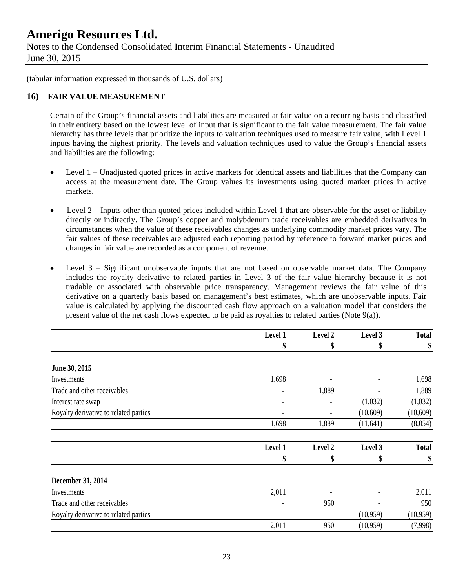Notes to the Condensed Consolidated Interim Financial Statements - Unaudited June 30, 2015

(tabular information expressed in thousands of U.S. dollars)

#### **16) FAIR VALUE MEASUREMENT**

Certain of the Group's financial assets and liabilities are measured at fair value on a recurring basis and classified in their entirety based on the lowest level of input that is significant to the fair value measurement. The fair value hierarchy has three levels that prioritize the inputs to valuation techniques used to measure fair value, with Level 1 inputs having the highest priority. The levels and valuation techniques used to value the Group's financial assets and liabilities are the following:

- Level 1 Unadjusted quoted prices in active markets for identical assets and liabilities that the Company can access at the measurement date. The Group values its investments using quoted market prices in active markets.
- $\bullet$  Level 2 Inputs other than quoted prices included within Level 1 that are observable for the asset or liability directly or indirectly. The Group's copper and molybdenum trade receivables are embedded derivatives in circumstances when the value of these receivables changes as underlying commodity market prices vary. The fair values of these receivables are adjusted each reporting period by reference to forward market prices and changes in fair value are recorded as a component of revenue.
- Level 3 Significant unobservable inputs that are not based on observable market data. The Company includes the royalty derivative to related parties in Level 3 of the fair value hierarchy because it is not tradable or associated with observable price transparency. Management reviews the fair value of this derivative on a quarterly basis based on management's best estimates, which are unobservable inputs. Fair value is calculated by applying the discounted cash flow approach on a valuation model that considers the present value of the net cash flows expected to be paid as royalties to related parties (Note 9(a)).

|                                       | Level 1 | Level 2 | Level 3   | <b>Total</b> |
|---------------------------------------|---------|---------|-----------|--------------|
|                                       | \$      | \$      | \$        | \$           |
| June 30, 2015                         |         |         |           |              |
| Investments                           | 1,698   |         |           | 1,698        |
| Trade and other receivables           |         | 1,889   |           | 1,889        |
| Interest rate swap                    |         |         | (1,032)   | (1,032)      |
| Royalty derivative to related parties |         |         | (10,609)  | (10,609)     |
|                                       | 1,698   | 1,889   | (11, 641) | (8,054)      |
|                                       | Level 1 | Level 2 | Level 3   | <b>Total</b> |
|                                       | \$      | \$      | \$        | \$           |
| December 31, 2014                     |         |         |           |              |
| Investments                           | 2,011   |         |           | 2,011        |
| Trade and other receivables           |         | 950     |           | 950          |
| Royalty derivative to related parties |         |         | (10,959)  | (10, 959)    |
|                                       | 2,011   | 950     | (10,959)  | (7,998)      |